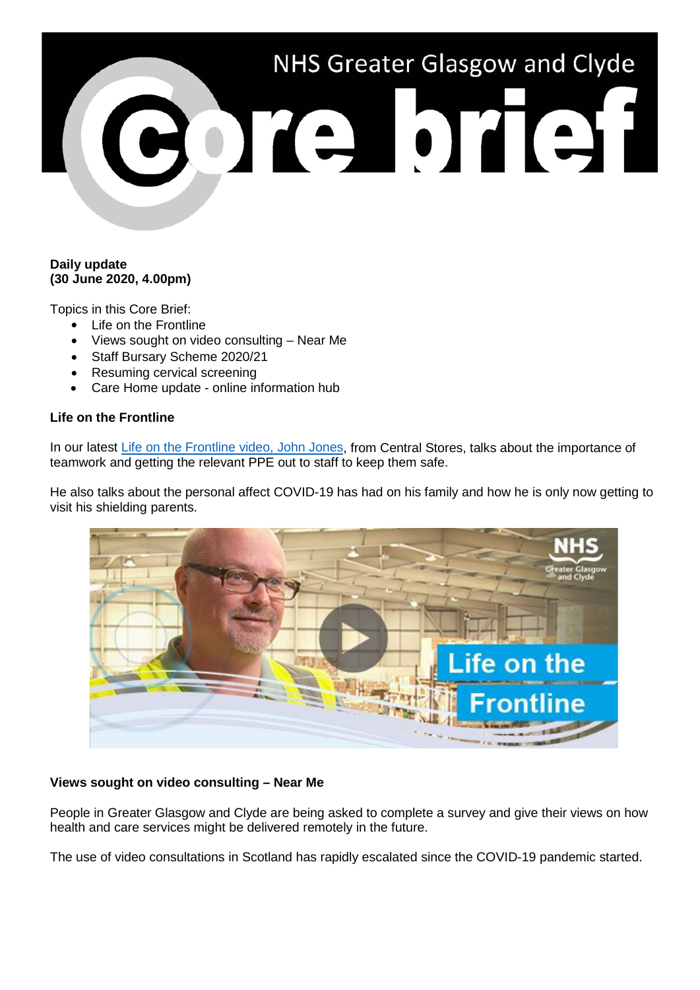# NHS Greater Glasgow and Clyde CORPORE'

## **Daily update (30 June 2020, 4.00pm)**

Topics in this Core Brief:

- Life on the Frontline
- Views sought on video consulting Near Me
- Staff Bursary Scheme 2020/21
- Resuming cervical screening
- Care Home update online information hub

## **Life on the Frontline**

In our latest [Life on the Frontline video, John Jones,](https://www.youtube.com/watch?v=cCvQKgt0foc) from Central Stores, talks about the importance of teamwork and getting the relevant PPE out to staff to keep them safe.

He also talks about the personal affect COVID-19 has had on his family and how he is only now getting to visit his shielding parents.



# **Views sought on video consulting – Near Me**

People in Greater Glasgow and Clyde are being asked to complete a survey and give their views on how health and care services might be delivered remotely in the future.

The use of video consultations in Scotland has rapidly escalated since the COVID-19 pandemic started.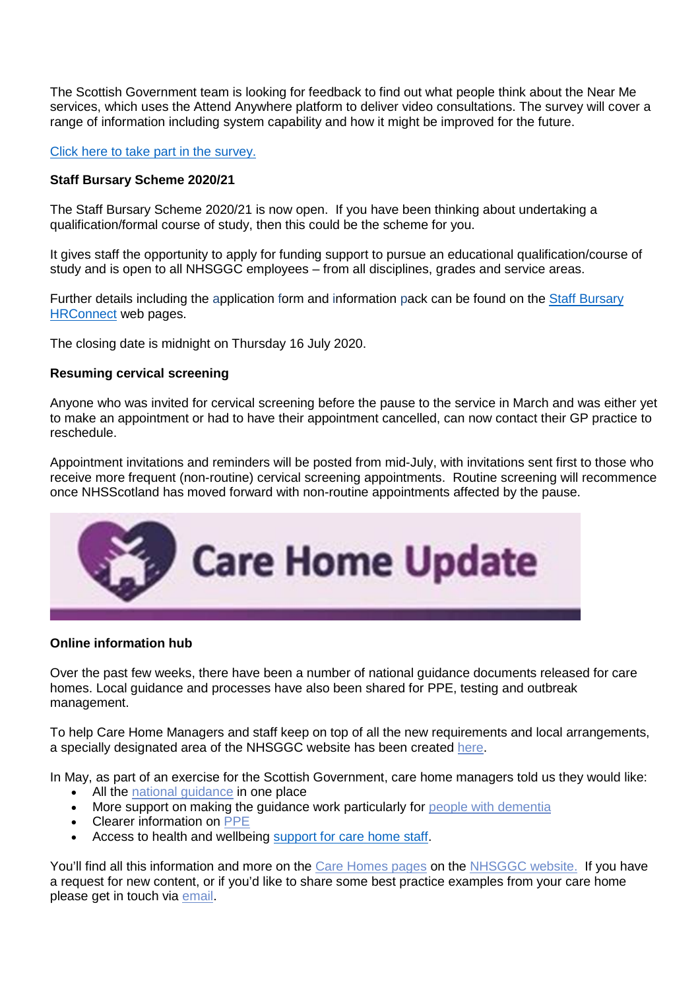The Scottish Government team is looking for feedback to find out what people think about the Near Me services, which uses the Attend Anywhere platform to deliver video consultations. The survey will cover a range of information including system capability and how it might be improved for the future.

#### Click here [to take part in the survey.](https://response.questback.com/isa/qbv.dll/ShowQuest?QuestID=5481276&sid=4cIcFYtTyr)

#### **Staff Bursary Scheme 2020/21**

The Staff Bursary Scheme 2020/21 is now open. If you have been thinking about undertaking a qualification/formal course of study, then this could be the scheme for you.

It gives staff the opportunity to apply for funding support to pursue an educational qualification/course of study and is open to all NHSGGC employees – from all disciplines, grades and service areas.

Further details including the application form and information pack can be found on the Staff Bursary **[HRConnect](https://www.nhsggc.org.uk/working-with-us/hr-connect/learning-education-and-training/staff-bursary-scheme/)** web pages.

The closing date is midnight on Thursday 16 July 2020.

#### **Resuming cervical screening**

Anyone who was invited for cervical screening before the pause to the service in March and was either yet to make an appointment or had to have their appointment cancelled, can now contact their GP practice to reschedule.

Appointment invitations and reminders will be posted from mid-July, with invitations sent first to those who receive more frequent (non-routine) cervical screening appointments. Routine screening will recommence once NHSScotland has moved forward with non-routine appointments affected by the pause.



#### **Online information hub**

Over the past few weeks, there have been a number of national guidance documents released for care homes. Local guidance and processes have also been shared for PPE, testing and outbreak management.

To help Care Home Managers and staff keep on top of all the new requirements and local arrangements, a specially designated area of the NHSGGC website has been created [here.](https://www.nhsggc.org.uk/your-health/health-issues/covid-19-coronavirus/for-care-homes/)

In May, as part of an exercise for the Scottish Government, care home managers told us they would like:

- All the national quidance in one place
- More support on making the guidance work particularly for [people with dementia](https://www.nhsggc.org.uk/your-health/health-issues/covid-19-coronavirus/for-care-homes/dementia/)
- Clearer information on [PPE](https://www.nhsggc.org.uk/your-health/health-issues/covid-19-coronavirus/for-care-homes/ppe/)
- Access to health and wellbeing [support for care home staff.](https://www.nhsggc.org.uk/your-health/health-issues/covid-19-coronavirus/for-care-homes/supporting-health-and-wellbeing/)

You'll find all this information and more on the [Care Homes pages](https://www.nhsggc.org.uk/your-health/health-issues/covid-19-coronavirus/for-care-homes/) on the [NHSGGC website.](https://www.nhsggc.org.uk/) If you have a request for new content, or if you'd like to share some best practice examples from your care home please get in touch via [email.](mailto:debbie.schofield@ggc.scot.nhs.uk?subject=Care%20Homes%20Online%20Information%20Hub)